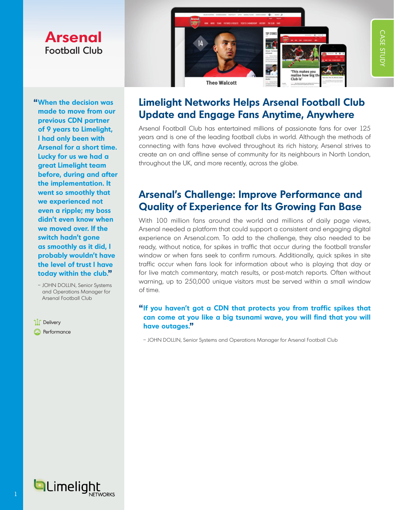# **Arsenal**  Football Club

**"When the decision was made to move from our previous CDN partner of 9 years to Limelight, I had only been with Arsenal for a short time. Lucky for us we had a great Limelight team before, during and after the implementation. It went so smoothly that we experienced not even a ripple; my boss didn't even know when we moved over. If the switch hadn't gone as smoothly as it did, I probably wouldn't have the level of trust I have today within the club."**

 – JOHN DOLLIN, Senior Systems and Operations Manager for Arsenal Football Club

้ไ∏้ Delivery **Q** Performance



CASE STUDY

CASE STUDY

# **Limelight Networks Helps Arsenal Football Club Update and Engage Fans Anytime, Anywhere**

Arsenal Football Club has entertained millions of passionate fans for over 125 years and is one of the leading football clubs in world. Although the methods of connecting with fans have evolved throughout its rich history, Arsenal strives to create an on and offline sense of community for its neighbours in North London, throughout the UK, and more recently, across the globe.

## **Arsenal's Challenge: Improve Performance and Quality of Experience for Its Growing Fan Base**

With 100 million fans around the world and millions of daily page views, Arsenal needed a platform that could support a consistent and engaging digital experience on [Arsenal.com.](http://www.arsenal.com) To add to the challenge, they also needed to be ready, without notice, for spikes in traffic that occur during the football transfer window or when fans seek to confirm rumours. Additionally, quick spikes in site traffic occur when fans look for information about who is playing that day or for live match commentary, match results, or post-match reports. Often without warning, up to 250,000 unique visitors must be served within a small window of time.

### **"If you haven't got a CDN that protects you from traffic spikes that can come at you like a big tsunami wave, you will find that you will have outages."**

– JOHN DOLLIN, Senior Systems and Operations Manager for Arsenal Football Club